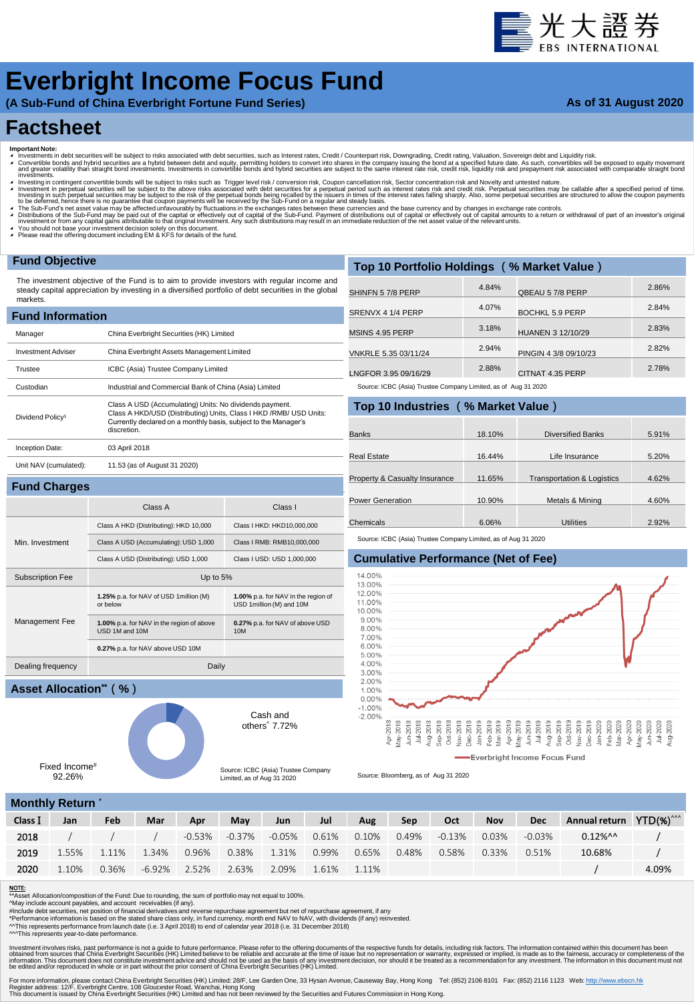# 臺光大證券

## **Everbright Income Focus Fund**

**(A Sub-Fund of China Everbright Fortune Fund Series)**

#### **As of 31 August 2020**

### **Factsheet**

- 
- Important Note:<br>▲ Investments in debt securities will be subject to risks associated with debt securities, such as Interest rates, Credit / Counterpart risk, Downgrading, Credit rating, Valuation, Sovereign debt and Equid westing in contingent convertible bonds will be subject to risks such as Trigger level risk / conversion risk, Coupon cancellation risk. Sector concentration risk and Novelty and untested nature.
- Investment in perpetual securities will be subject to the above risks associated with debt securities for a perpetual period such as interest rates risk and credit risk. Perpetual securities may be callable after a specifi
- 

**1.00%** p.a. for NAV in the region of USD 1million (M) and 10M

**0.27%** p.a. for NAV of above USD

Cash and others^ 7.72%

Source: ICBC (Asia) Trustee Company Limited, as of Aug 31 2020

10M

- A The Sub-Fund's net asset value may be affected unfavourably by fluctuations in the exchanges rates between these currencies and the base currency and by changes in exchange rate controls.<br>A Distributions of the Sub-Fund
- ◢ You should not base your investment decision solely on this document. ◢ Please read the offering document including EM & KFS for details of the fund.

Subscription Fee Up to 5%

USD 1M and 10M

Dealing frequency Daily

**1.25%** p.a. for NAV of USD 1million (M) or below

**1.00%** p.a. for NAV in the region of above

**0.27%** p.a. for NAV above USD 10M

#### **Fund Objective**

**Fund Charges**

Min. Investment

Management Fee

The investment objective of the Fund is to aim to provide investors with regular income and steady capital appreciation by investing in a diversified portfolio of debt securities in the global markets.

| <b>Fund Information</b>      |                                                                                                                                                                                                                 |  |  |  |  |  |  |  |  |  |
|------------------------------|-----------------------------------------------------------------------------------------------------------------------------------------------------------------------------------------------------------------|--|--|--|--|--|--|--|--|--|
| Manager                      | China Everbright Securities (HK) Limited                                                                                                                                                                        |  |  |  |  |  |  |  |  |  |
| <b>Investment Adviser</b>    | China Everbright Assets Management Limited                                                                                                                                                                      |  |  |  |  |  |  |  |  |  |
| Trustee                      | ICBC (Asia) Trustee Company Limited                                                                                                                                                                             |  |  |  |  |  |  |  |  |  |
| Custodian                    | Industrial and Commercial Bank of China (Asia) Limited                                                                                                                                                          |  |  |  |  |  |  |  |  |  |
| Dividend Policy <sup>1</sup> | Class A USD (Accumulating) Units: No dividends payment.<br>Class A HKD/USD (Distributing) Units, Class I HKD /RMB/ USD Units:<br>Currently declared on a monthly basis, subject to the Manager's<br>discretion. |  |  |  |  |  |  |  |  |  |
| Inception Date:              | 03 April 2018                                                                                                                                                                                                   |  |  |  |  |  |  |  |  |  |
| Unit NAV (cumulated):        | 11.53 (as of August 31 2020)                                                                                                                                                                                    |  |  |  |  |  |  |  |  |  |
|                              |                                                                                                                                                                                                                 |  |  |  |  |  |  |  |  |  |

Class A Class I

Class A HKD (Distributing): HKD 10,000 Class I HKD: HKD10,000,000 Class A USD (Accumulating): USD 1,000 Class I RMB: RMB10,000,000 Class A USD (Distributing): USD 1,000 Class I USD: USD 1,000,000

| Top 10 Portfolio Holdings (% Market Value) |       |                       |       |  |  |  |  |  |  |  |  |
|--------------------------------------------|-------|-----------------------|-------|--|--|--|--|--|--|--|--|
| SHINFN 57/8 PERP                           | 4.84% | QBEAU 5 7/8 PERP      | 2.86% |  |  |  |  |  |  |  |  |
| SRENVX 4 1/4 PERP                          | 4.07% | BOCHKL 5.9 PERP       | 2.84% |  |  |  |  |  |  |  |  |
| MSINS 4.95 PERP                            | 3.18% | HUANEN 3 12/10/29     | 2.83% |  |  |  |  |  |  |  |  |
| VNKRLE 5.35 03/11/24                       | 2.94% | PINGIN 4 3/8 09/10/23 | 2.82% |  |  |  |  |  |  |  |  |
| LNGFOR 3.95 09/16/29                       | 2.88% | CITNAT 4.35 PERP      | 2.78% |  |  |  |  |  |  |  |  |

**Top 10 Industries** (**% Market Value**) Source: ICBC (Asia) Trustee Company Limited, as of Aug 31 2020

|                               | <b>TOD TO INQUSTRES</b> (% Market value) |                                       |       |  |  |  |  |  |  |  |  |  |  |
|-------------------------------|------------------------------------------|---------------------------------------|-------|--|--|--|--|--|--|--|--|--|--|
| <b>Banks</b>                  | 18.10%                                   | <b>Diversified Banks</b>              | 5.91% |  |  |  |  |  |  |  |  |  |  |
|                               |                                          |                                       |       |  |  |  |  |  |  |  |  |  |  |
| Real Estate                   | 16.44%                                   | Life Insurance                        | 5.20% |  |  |  |  |  |  |  |  |  |  |
|                               |                                          |                                       |       |  |  |  |  |  |  |  |  |  |  |
| Property & Casualty Insurance | 11.65%                                   | <b>Transportation &amp; Logistics</b> | 4.62% |  |  |  |  |  |  |  |  |  |  |
|                               |                                          |                                       |       |  |  |  |  |  |  |  |  |  |  |
| <b>Power Generation</b>       | 10.90%                                   | Metals & Mining                       | 4.60% |  |  |  |  |  |  |  |  |  |  |
|                               |                                          |                                       |       |  |  |  |  |  |  |  |  |  |  |
| Chemicals                     | 6.06%                                    | <b>Utilities</b>                      | 2.92% |  |  |  |  |  |  |  |  |  |  |

Source: ICBC (Asia) Trustee Company Limited, as of Aug 31 2020

#### **Cumulative Performance (Net of Fee)**



Source: Bloomberg, as of Aug 31 2020

#### **Monthly Return**

Fixed Income# 92.26%

**Asset Allocation\*\***(**%**)

| Class I | Jan   | Feb   | Mar          | Apr   | May   | Jun                           | Jul         | Aug      | Sep                | Oct   | <b>Nov</b> | <b>Dec</b> | Annual return YTD(%) <sup>^^^</sup> |       |
|---------|-------|-------|--------------|-------|-------|-------------------------------|-------------|----------|--------------------|-------|------------|------------|-------------------------------------|-------|
| 2018    |       |       |              |       |       | $-0.53\%$ $-0.37\%$ $-0.05\%$ | 0.61%       | $0.10\%$ | $0.49\%$ $-0.13\%$ |       | $0.03\%$   | $-0.03\%$  | $0.12\%$ ^^                         |       |
| 2019    | 1.55% | 1.11% | 1.34%        | 0.96% |       | 0.38% 1.31%                   | 0.99%       | 0.65%    | 0.48%              | 0.58% | 0.33%      | 0.51%      | 10.68%                              |       |
| 2020    | 1.10% | 0.36% | -6.92% 2.52% |       | 2.63% | 2.09%                         | 1.61% 1.11% |          |                    |       |            |            |                                     | 4.09% |
|         |       |       |              |       |       |                               |             |          |                    |       |            |            |                                     |       |

#### NOTE:

 $\overline{\phantom{a}}$  Asset Allocation/composition of the Fund: Due to rounding, the sum of portfolio may not equal to 100%.

^May include account payables, and account receivables (if any).<br>#Include debt securities, net position of financial derivatives and reverse repurchase agreement but net of repurchase agreement, if any<br>\*Performance inform

^^This represents performance from launch date (i.e. 3 April 2018) to end of calendar year 2018 (i.e. 31 December 2018)

^^^This represents year-to-date performance.

Investment involves riss, past performance is not a guide to future performance. Please refer to the offering documents of the respective to the selection of varianty, expressed or implied, is made as to the fairmess, accu

For more information, please contact China Everbright Securities (HK) Limited: 28/F, Lee Garden One, 33 Hysan Avenue, Causeway Bay, Hong Kong Tel: (852) 2106 8101 Fax: (852) 2116 1123 Web: <u>http://www.ebscn.hk</u><br>Register ad